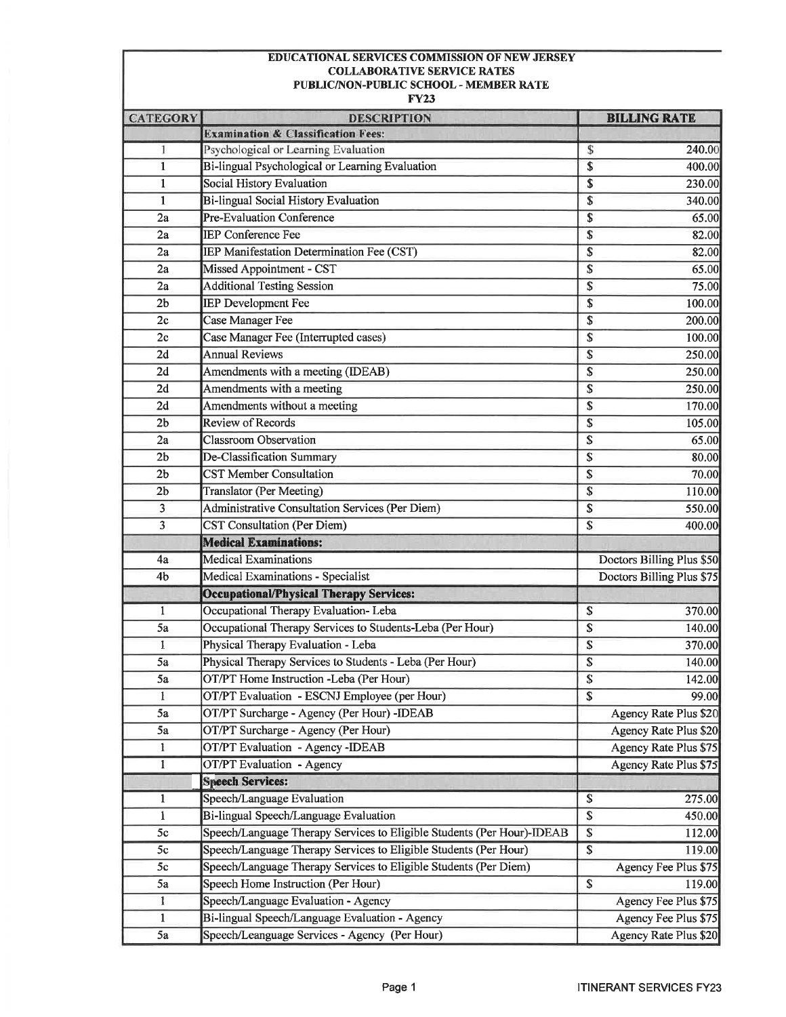## **EDUCATIONAL SERVICES COMMISSION OF NEW JERSEY COLLABORATIVE SERVICE RATES** PUBLIC/NON-PUBLIC SCHOOL - MEMBER RATE

**FY23** 

| <b>CATEGORY</b> | <b>DESCRIPTION</b>                                                     | <b>BILLING RATE</b>                                                                                                                                                 |  |
|-----------------|------------------------------------------------------------------------|---------------------------------------------------------------------------------------------------------------------------------------------------------------------|--|
|                 | <b>Examination &amp; Classification Fees:</b>                          |                                                                                                                                                                     |  |
| 1               | Psychological or Learning Evaluation                                   | \$<br>240.00                                                                                                                                                        |  |
| $\mathbf{1}$    | Bi-lingual Psychological or Learning Evaluation                        | \$<br>400.00                                                                                                                                                        |  |
| $\mathbf{1}$    | <b>Social History Evaluation</b>                                       | \$<br>230.00<br>\$<br>340.00<br>\$<br>65.00<br>$\boldsymbol{\mathsf{S}}$<br>82.00<br>\$<br>82.00<br>$\overline{\mathbb{S}}$<br>65.00<br>\$<br>75.00<br>\$<br>100.00 |  |
| $\mathbf{1}$    | Bi-lingual Social History Evaluation                                   |                                                                                                                                                                     |  |
| 2a              | Pre-Evaluation Conference                                              |                                                                                                                                                                     |  |
| 2a              | <b>IEP Conference Fee</b>                                              |                                                                                                                                                                     |  |
| 2a              | IEP Manifestation Determination Fee (CST)                              |                                                                                                                                                                     |  |
| 2a              | Missed Appointment - CST                                               |                                                                                                                                                                     |  |
| 2a              | <b>Additional Testing Session</b>                                      |                                                                                                                                                                     |  |
| 2 <sub>b</sub>  | <b>IEP Development Fee</b>                                             |                                                                                                                                                                     |  |
| 2c              | Case Manager Fee                                                       | \$<br>200.00                                                                                                                                                        |  |
| 2c              | Case Manager Fee (Interrupted cases)                                   | \$<br>100.00                                                                                                                                                        |  |
| 2d              | <b>Annual Reviews</b>                                                  | \$<br>250.00                                                                                                                                                        |  |
| 2d              | Amendments with a meeting (IDEAB)                                      | \$<br>250.00                                                                                                                                                        |  |
| 2d              | Amendments with a meeting                                              | 250.00<br>\$                                                                                                                                                        |  |
| 2d              | Amendments without a meeting                                           | \$<br>170.00                                                                                                                                                        |  |
| 2 <sub>b</sub>  | <b>Review of Records</b>                                               | \$<br>105.00                                                                                                                                                        |  |
| 2a              | <b>Classroom</b> Observation                                           | $\overline{\mathbb{S}}$<br>65.00                                                                                                                                    |  |
| 2 <sub>b</sub>  | De-Classification Summary                                              | \$<br>80.00                                                                                                                                                         |  |
| 2 <sub>b</sub>  | <b>CST Member Consultation</b>                                         | \$<br>70.00                                                                                                                                                         |  |
| 2 <sub>b</sub>  | Translator (Per Meeting)                                               | \$<br>110.00                                                                                                                                                        |  |
| 3               | Administrative Consultation Services (Per Diem)                        | \$<br>550.00                                                                                                                                                        |  |
| 3               | <b>CST Consultation (Per Diem)</b>                                     | \$<br>400.00                                                                                                                                                        |  |
|                 | <b>Medical Examinations:</b>                                           |                                                                                                                                                                     |  |
| 4a              | <b>Medical Examinations</b>                                            | Doctors Billing Plus \$50                                                                                                                                           |  |
| 4 <sub>b</sub>  | Medical Examinations - Specialist                                      | Doctors Billing Plus \$75                                                                                                                                           |  |
|                 | <b>Occupational/Physical Therapy Services:</b>                         |                                                                                                                                                                     |  |
| $\mathbf{1}$    | Occupational Therapy Evaluation-Leba                                   | \$<br>370.00                                                                                                                                                        |  |
| 5a              | Occupational Therapy Services to Students-Leba (Per Hour)              | \$<br>140.00                                                                                                                                                        |  |
| 1               | Physical Therapy Evaluation - Leba                                     | \$<br>370.00                                                                                                                                                        |  |
| 5a              | Physical Therapy Services to Students - Leba (Per Hour)                | \$<br>140.00                                                                                                                                                        |  |
| 5a              | OT/PT Home Instruction -Leba (Per Hour)                                | \$<br>142.00                                                                                                                                                        |  |
| $\mathbf{I}$    | OT/PT Evaluation - ESCNJ Employee (per Hour)                           | 99.00<br>\$                                                                                                                                                         |  |
| 5a              | OT/PT Surcharge - Agency (Per Hour) -IDEAB                             | Agency Rate Plus \$20                                                                                                                                               |  |
| 5a              | OT/PT Surcharge - Agency (Per Hour)                                    | Agency Rate Plus \$20                                                                                                                                               |  |
| 1               | OT/PT Evaluation - Agency -IDEAB                                       | Agency Rate Plus \$75                                                                                                                                               |  |
| $\mathbf{1}$    | OT/PT Evaluation - Agency                                              | <b>Agency Rate Plus \$75</b>                                                                                                                                        |  |
|                 | <b>Speech Services:</b>                                                |                                                                                                                                                                     |  |
| $\mathbf{1}$    | Speech/Language Evaluation                                             | \$<br>275.00                                                                                                                                                        |  |
| $\mathbf{1}$    | Bi-lingual Speech/Language Evaluation                                  | \$<br>450.00                                                                                                                                                        |  |
| 5c              | Speech/Language Therapy Services to Eligible Students (Per Hour)-IDEAB | $\overline{\mathbb{S}}$<br>112.00                                                                                                                                   |  |
| 5c              | Speech/Language Therapy Services to Eligible Students (Per Hour)       | $\overline{\mathbb{S}}$<br>119.00                                                                                                                                   |  |
| 5c              | Speech/Language Therapy Services to Eligible Students (Per Diem)       | Agency Fee Plus \$75                                                                                                                                                |  |
| 5a              | Speech Home Instruction (Per Hour)                                     | \$<br>119.00                                                                                                                                                        |  |
| $\mathbf{I}$    | Speech/Language Evaluation - Agency                                    | Agency Fee Plus \$75                                                                                                                                                |  |
| $\mathbf{1}$    | Bi-lingual Speech/Language Evaluation - Agency                         | Agency Fee Plus \$75                                                                                                                                                |  |
| 5a              | Speech/Leanguage Services - Agency (Per Hour)                          | Agency Rate Plus \$20                                                                                                                                               |  |